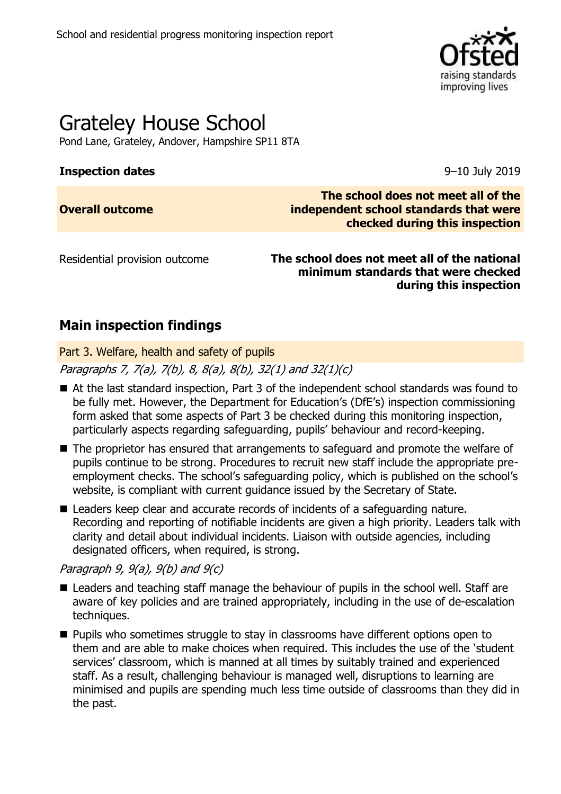

# Grateley House School

Pond Lane, Grateley, Andover, Hampshire SP11 8TA

## **Inspection dates** 9–10 July 2019

## **Overall outcome**

**The school does not meet all of the independent school standards that were checked during this inspection**

Residential provision outcome **The school does not meet all of the national minimum standards that were checked during this inspection**

## **Main inspection findings**

Part 3. Welfare, health and safety of pupils

Paragraphs 7, 7(a), 7(b), 8, 8(a), 8(b), 32(1) and 32(1)(c)

- At the last standard inspection, Part 3 of the independent school standards was found to be fully met. However, the Department for Education's (DfE's) inspection commissioning form asked that some aspects of Part 3 be checked during this monitoring inspection, particularly aspects regarding safeguarding, pupils' behaviour and record-keeping.
- The proprietor has ensured that arrangements to safeguard and promote the welfare of pupils continue to be strong. Procedures to recruit new staff include the appropriate preemployment checks. The school's safeguarding policy, which is published on the school's website, is compliant with current guidance issued by the Secretary of State.
- Leaders keep clear and accurate records of incidents of a safeguarding nature. Recording and reporting of notifiable incidents are given a high priority. Leaders talk with clarity and detail about individual incidents. Liaison with outside agencies, including designated officers, when required, is strong.

## Paragraph 9,  $9(a)$ ,  $9(b)$  and  $9(c)$

- Leaders and teaching staff manage the behaviour of pupils in the school well. Staff are aware of key policies and are trained appropriately, including in the use of de-escalation techniques.
- Pupils who sometimes struggle to stay in classrooms have different options open to them and are able to make choices when required. This includes the use of the 'student services' classroom, which is manned at all times by suitably trained and experienced staff. As a result, challenging behaviour is managed well, disruptions to learning are minimised and pupils are spending much less time outside of classrooms than they did in the past.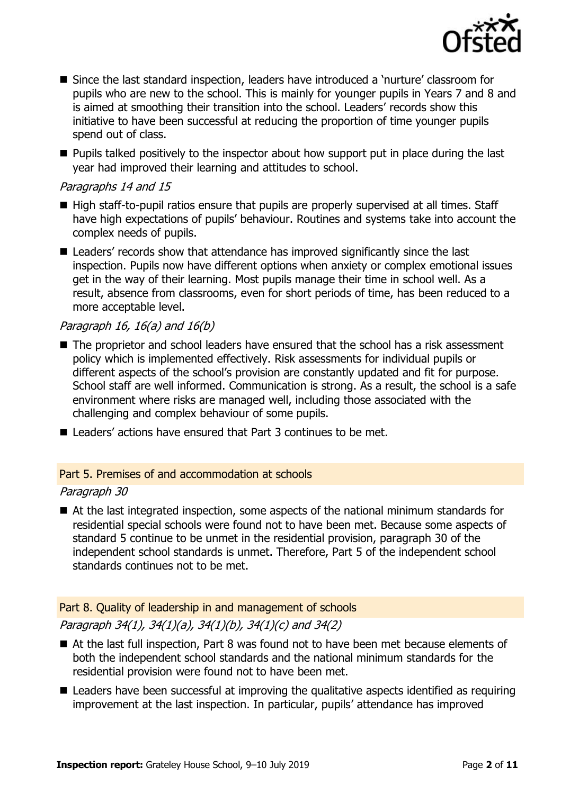

- Since the last standard inspection, leaders have introduced a 'nurture' classroom for pupils who are new to the school. This is mainly for younger pupils in Years 7 and 8 and is aimed at smoothing their transition into the school. Leaders' records show this initiative to have been successful at reducing the proportion of time younger pupils spend out of class.
- Pupils talked positively to the inspector about how support put in place during the last year had improved their learning and attitudes to school.

## Paragraphs 14 and 15

- High staff-to-pupil ratios ensure that pupils are properly supervised at all times. Staff have high expectations of pupils' behaviour. Routines and systems take into account the complex needs of pupils.
- Leaders' records show that attendance has improved significantly since the last inspection. Pupils now have different options when anxiety or complex emotional issues get in the way of their learning. Most pupils manage their time in school well. As a result, absence from classrooms, even for short periods of time, has been reduced to a more acceptable level.

## Paragraph 16, 16(a) and  $16(b)$

- The proprietor and school leaders have ensured that the school has a risk assessment policy which is implemented effectively. Risk assessments for individual pupils or different aspects of the school's provision are constantly updated and fit for purpose. School staff are well informed. Communication is strong. As a result, the school is a safe environment where risks are managed well, including those associated with the challenging and complex behaviour of some pupils.
- Leaders' actions have ensured that Part 3 continues to be met.

## Part 5. Premises of and accommodation at schools

## Paragraph 30

■ At the last integrated inspection, some aspects of the national minimum standards for residential special schools were found not to have been met. Because some aspects of standard 5 continue to be unmet in the residential provision, paragraph 30 of the independent school standards is unmet. Therefore, Part 5 of the independent school standards continues not to be met.

## Part 8. Quality of leadership in and management of schools

## Paragraph 34(1), 34(1)(a), 34(1)(b), 34(1)(c) and 34(2)

- At the last full inspection, Part 8 was found not to have been met because elements of both the independent school standards and the national minimum standards for the residential provision were found not to have been met.
- $\blacksquare$  Leaders have been successful at improving the qualitative aspects identified as requiring improvement at the last inspection. In particular, pupils' attendance has improved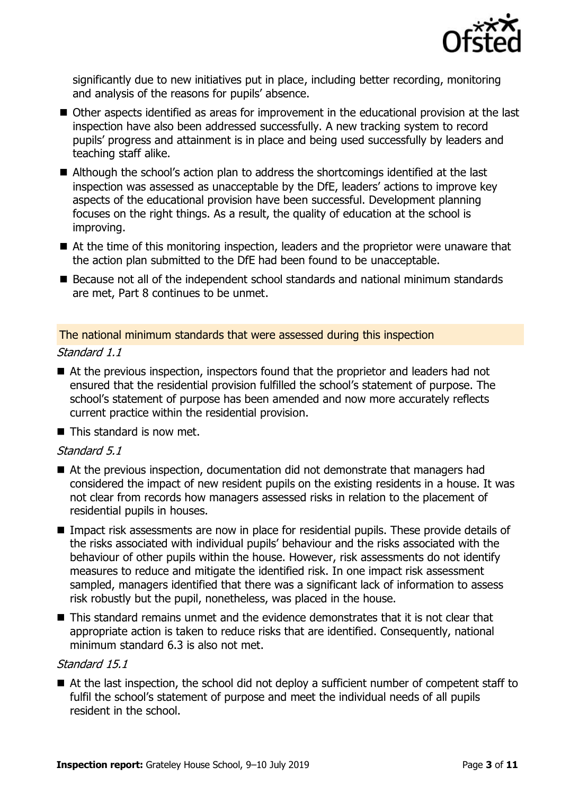

significantly due to new initiatives put in place, including better recording, monitoring and analysis of the reasons for pupils' absence.

- Other aspects identified as areas for improvement in the educational provision at the last inspection have also been addressed successfully. A new tracking system to record pupils' progress and attainment is in place and being used successfully by leaders and teaching staff alike.
- Although the school's action plan to address the shortcomings identified at the last inspection was assessed as unacceptable by the DfE, leaders' actions to improve key aspects of the educational provision have been successful. Development planning focuses on the right things. As a result, the quality of education at the school is improving.
- At the time of this monitoring inspection, leaders and the proprietor were unaware that the action plan submitted to the DfE had been found to be unacceptable.
- Because not all of the independent school standards and national minimum standards are met, Part 8 continues to be unmet.

The national minimum standards that were assessed during this inspection

#### Standard 1.1

- At the previous inspection, inspectors found that the proprietor and leaders had not ensured that the residential provision fulfilled the school's statement of purpose. The school's statement of purpose has been amended and now more accurately reflects current practice within the residential provision.
- This standard is now met.

## Standard 5.1

- At the previous inspection, documentation did not demonstrate that managers had considered the impact of new resident pupils on the existing residents in a house. It was not clear from records how managers assessed risks in relation to the placement of residential pupils in houses.
- Impact risk assessments are now in place for residential pupils. These provide details of the risks associated with individual pupils' behaviour and the risks associated with the behaviour of other pupils within the house. However, risk assessments do not identify measures to reduce and mitigate the identified risk. In one impact risk assessment sampled, managers identified that there was a significant lack of information to assess risk robustly but the pupil, nonetheless, was placed in the house.
- This standard remains unmet and the evidence demonstrates that it is not clear that appropriate action is taken to reduce risks that are identified. Consequently, national minimum standard 6.3 is also not met.

#### Standard 15.1

■ At the last inspection, the school did not deploy a sufficient number of competent staff to fulfil the school's statement of purpose and meet the individual needs of all pupils resident in the school.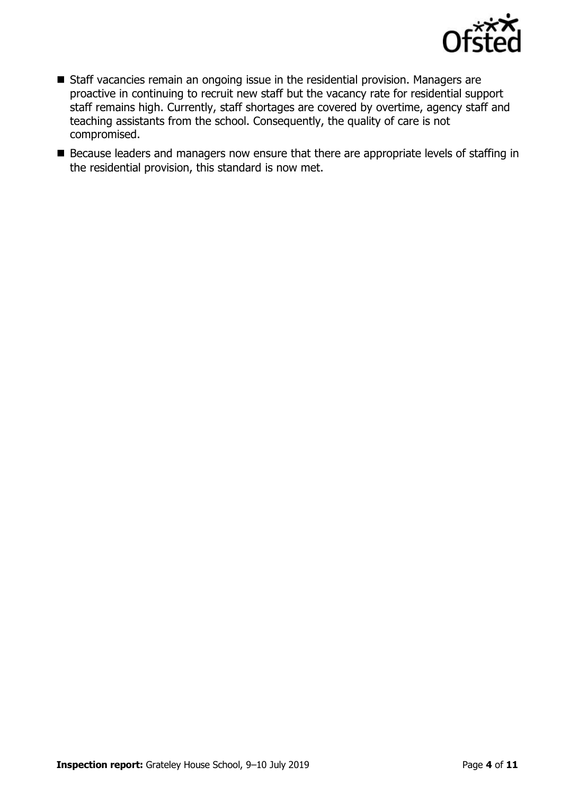

- Staff vacancies remain an ongoing issue in the residential provision. Managers are proactive in continuing to recruit new staff but the vacancy rate for residential support staff remains high. Currently, staff shortages are covered by overtime, agency staff and teaching assistants from the school. Consequently, the quality of care is not compromised.
- Because leaders and managers now ensure that there are appropriate levels of staffing in the residential provision, this standard is now met.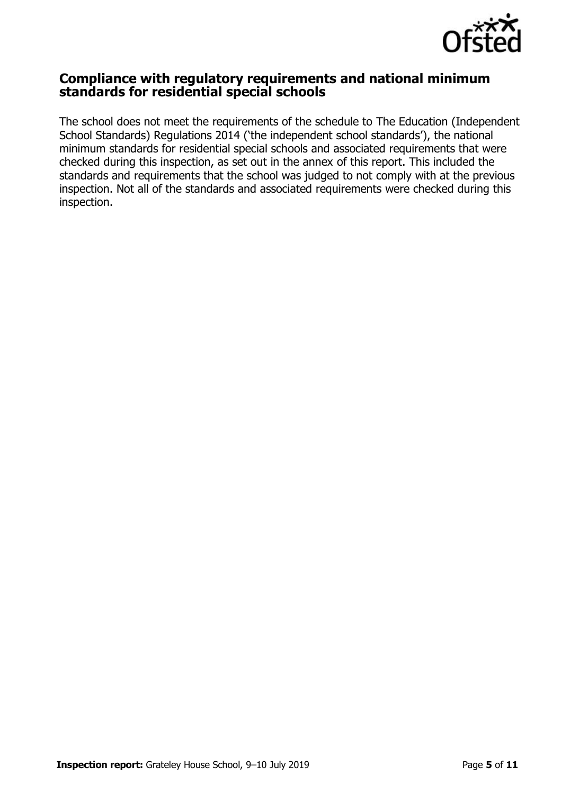

## **Compliance with regulatory requirements and national minimum standards for residential special schools**

The school does not meet the requirements of the schedule to The Education (Independent School Standards) Regulations 2014 ('the independent school standards'), the national minimum standards for residential special schools and associated requirements that were checked during this inspection, as set out in the annex of this report. This included the standards and requirements that the school was judged to not comply with at the previous inspection. Not all of the standards and associated requirements were checked during this inspection.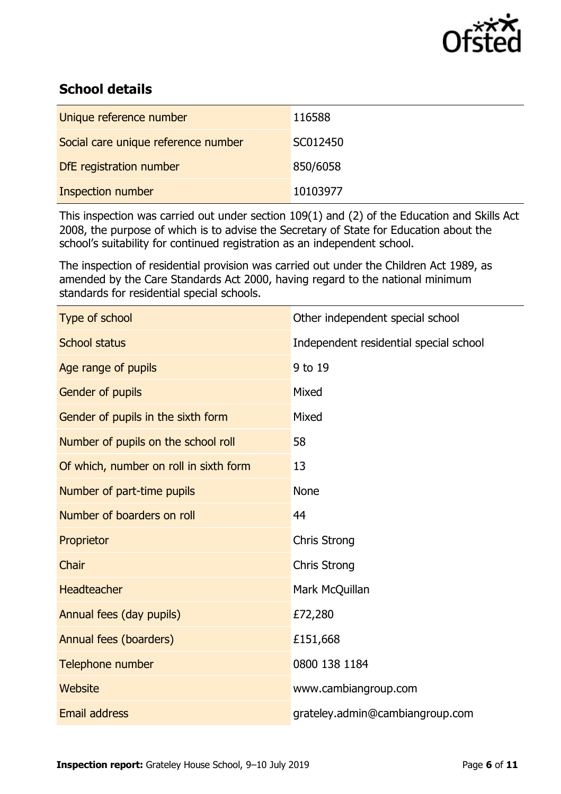

# **School details**

| Unique reference number             | 116588   |
|-------------------------------------|----------|
| Social care unique reference number | SC012450 |
| DfE registration number             | 850/6058 |
| <b>Inspection number</b>            | 10103977 |

This inspection was carried out under section 109(1) and (2) of the Education and Skills Act 2008, the purpose of which is to advise the Secretary of State for Education about the school's suitability for continued registration as an independent school.

The inspection of residential provision was carried out under the Children Act 1989, as amended by the Care Standards Act 2000, having regard to the national minimum standards for residential special schools.

| Type of school                         | Other independent special school       |
|----------------------------------------|----------------------------------------|
| <b>School status</b>                   | Independent residential special school |
| Age range of pupils                    | 9 to 19                                |
| Gender of pupils                       | Mixed                                  |
| Gender of pupils in the sixth form     | Mixed                                  |
| Number of pupils on the school roll    | 58                                     |
| Of which, number on roll in sixth form | 13                                     |
| Number of part-time pupils             | <b>None</b>                            |
| Number of boarders on roll             | 44                                     |
| Proprietor                             | <b>Chris Strong</b>                    |
| Chair                                  | <b>Chris Strong</b>                    |
| <b>Headteacher</b>                     | Mark McQuillan                         |
| Annual fees (day pupils)               | £72,280                                |
| Annual fees (boarders)                 | £151,668                               |
| Telephone number                       | 0800 138 1184                          |
| <b>Website</b>                         | www.cambiangroup.com                   |
| <b>Email address</b>                   | grateley.admin@cambiangroup.com        |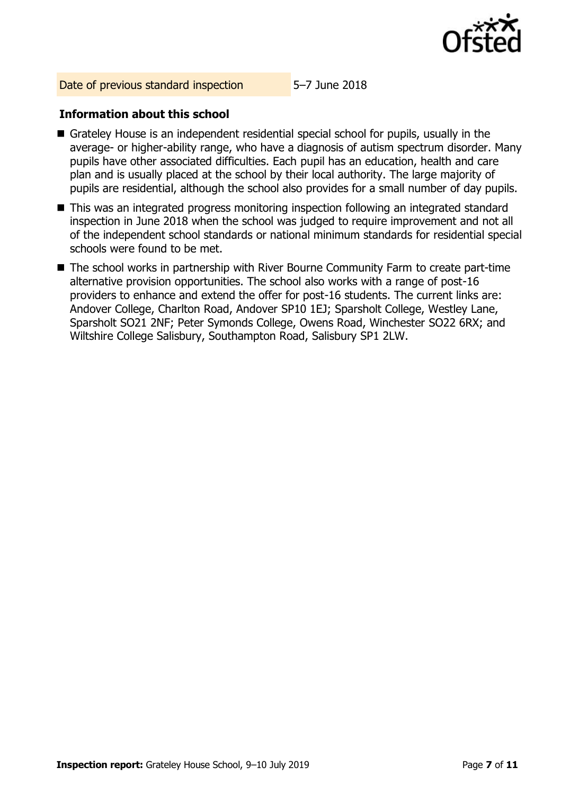

Date of previous standard inspection 5–7 June 2018

## **Information about this school**

- Grateley House is an independent residential special school for pupils, usually in the average- or higher-ability range, who have a diagnosis of autism spectrum disorder. Many pupils have other associated difficulties. Each pupil has an education, health and care plan and is usually placed at the school by their local authority. The large majority of pupils are residential, although the school also provides for a small number of day pupils.
- This was an integrated progress monitoring inspection following an integrated standard inspection in June 2018 when the school was judged to require improvement and not all of the independent school standards or national minimum standards for residential special schools were found to be met.
- The school works in partnership with River Bourne Community Farm to create part-time alternative provision opportunities. The school also works with a range of post-16 providers to enhance and extend the offer for post-16 students. The current links are: Andover College, Charlton Road, Andover SP10 1EJ; Sparsholt College, Westley Lane, Sparsholt SO21 2NF; Peter Symonds College, Owens Road, Winchester SO22 6RX; and Wiltshire College Salisbury, Southampton Road, Salisbury SP1 2LW.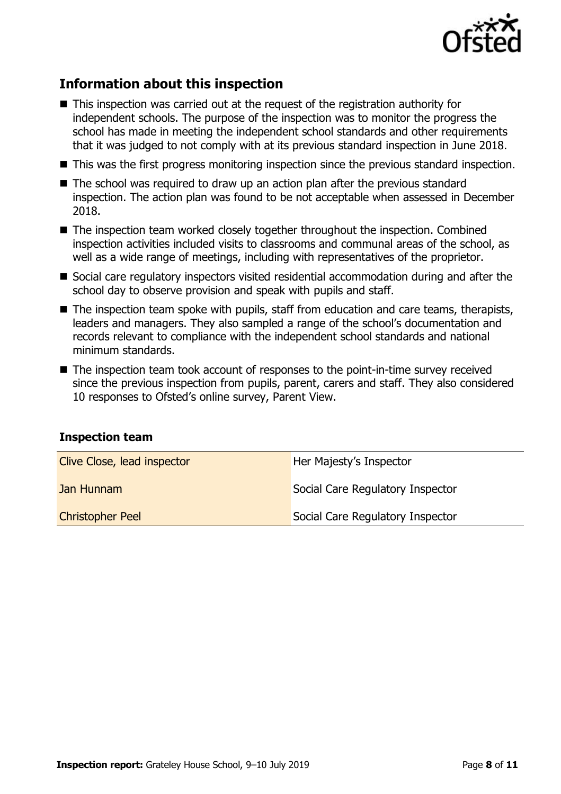

# **Information about this inspection**

- This inspection was carried out at the request of the registration authority for independent schools. The purpose of the inspection was to monitor the progress the school has made in meeting the independent school standards and other requirements that it was judged to not comply with at its previous standard inspection in June 2018.
- This was the first progress monitoring inspection since the previous standard inspection.
- The school was required to draw up an action plan after the previous standard inspection. The action plan was found to be not acceptable when assessed in December 2018.
- The inspection team worked closely together throughout the inspection. Combined inspection activities included visits to classrooms and communal areas of the school, as well as a wide range of meetings, including with representatives of the proprietor.
- Social care regulatory inspectors visited residential accommodation during and after the school day to observe provision and speak with pupils and staff.
- The inspection team spoke with pupils, staff from education and care teams, therapists, leaders and managers. They also sampled a range of the school's documentation and records relevant to compliance with the independent school standards and national minimum standards.
- The inspection team took account of responses to the point-in-time survey received since the previous inspection from pupils, parent, carers and staff. They also considered 10 responses to Ofsted's online survey, Parent View.

#### **Inspection team**

| Clive Close, lead inspector | Her Majesty's Inspector          |
|-----------------------------|----------------------------------|
| Jan Hunnam                  | Social Care Regulatory Inspector |
| <b>Christopher Peel</b>     | Social Care Regulatory Inspector |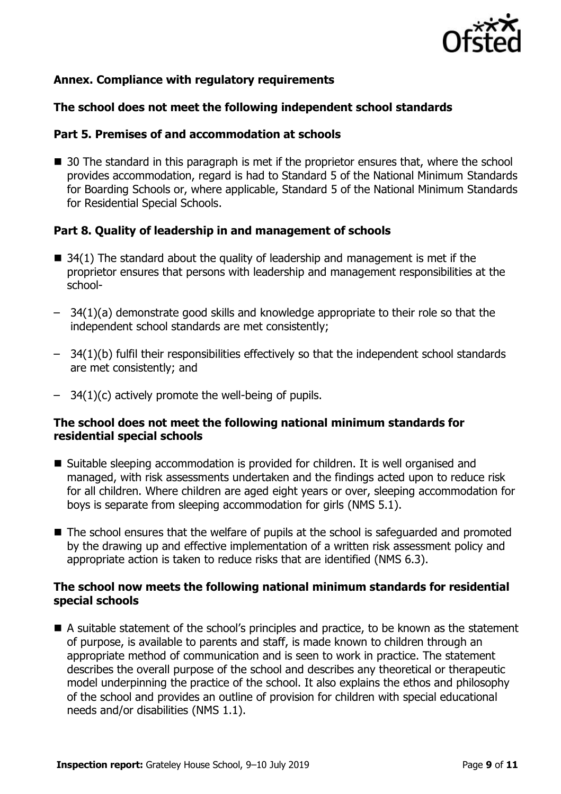

## **Annex. Compliance with regulatory requirements**

## **The school does not meet the following independent school standards**

#### **Part 5. Premises of and accommodation at schools**

■ 30 The standard in this paragraph is met if the proprietor ensures that, where the school provides accommodation, regard is had to Standard 5 of the National Minimum Standards for Boarding Schools or, where applicable, Standard 5 of the National Minimum Standards for Residential Special Schools.

## **Part 8. Quality of leadership in and management of schools**

- $\blacksquare$  34(1) The standard about the quality of leadership and management is met if the proprietor ensures that persons with leadership and management responsibilities at the school-
- 34(1)(a) demonstrate good skills and knowledge appropriate to their role so that the independent school standards are met consistently;
- 34(1)(b) fulfil their responsibilities effectively so that the independent school standards are met consistently; and
- $-$  34(1)(c) actively promote the well-being of pupils.

## **The school does not meet the following national minimum standards for residential special schools**

- Suitable sleeping accommodation is provided for children. It is well organised and managed, with risk assessments undertaken and the findings acted upon to reduce risk for all children. Where children are aged eight years or over, sleeping accommodation for boys is separate from sleeping accommodation for girls (NMS 5.1).
- The school ensures that the welfare of pupils at the school is safeguarded and promoted by the drawing up and effective implementation of a written risk assessment policy and appropriate action is taken to reduce risks that are identified (NMS 6.3).

## **The school now meets the following national minimum standards for residential special schools**

■ A suitable statement of the school's principles and practice, to be known as the statement of purpose, is available to parents and staff, is made known to children through an appropriate method of communication and is seen to work in practice. The statement describes the overall purpose of the school and describes any theoretical or therapeutic model underpinning the practice of the school. It also explains the ethos and philosophy of the school and provides an outline of provision for children with special educational needs and/or disabilities (NMS 1.1).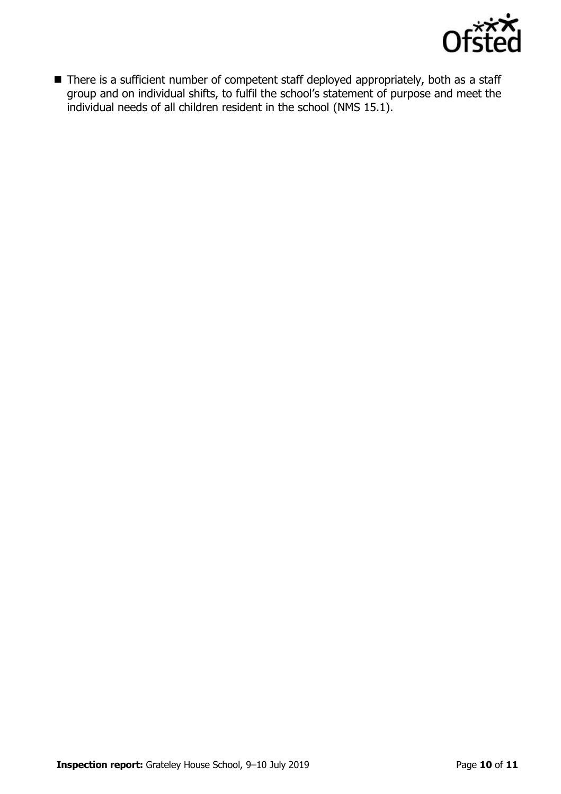

■ There is a sufficient number of competent staff deployed appropriately, both as a staff group and on individual shifts, to fulfil the school's statement of purpose and meet the individual needs of all children resident in the school (NMS 15.1).